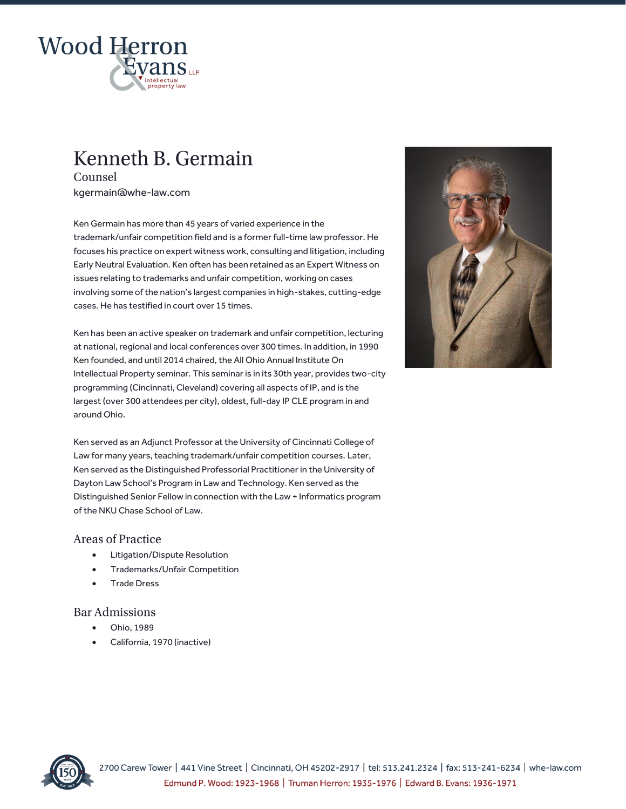

# Kenneth B. Germain

Counsel kgermain@whe-law.com

Ken Germain has more than 45 years of varied experience in the trademark/unfair competition field and is a former full-time law professor. He focuses his practice on expert witness work, consulting and litigation, including Early Neutral Evaluation. Ken often has been retained as an Expert Witness on issues relating to trademarks and unfair competition, working on cases involving some of the nation's largest companies in high-stakes, cutting-edge cases. He has testified in court over 15 times.

Ken has been an active speaker on trademark and unfair competition, lecturing at national, regional and local conferences over 300 times. In addition, in 1990 Ken founded, and until 2014 chaired, the All Ohio Annual Institute On Intellectual Property seminar. This seminar is in its 30th year, provides two-city programming (Cincinnati, Cleveland) covering all aspects of IP, and is the largest (over 300 attendees per city), oldest, full-day IP CLE program in and around Ohio.

Ken served as an Adjunct Professor at the University of Cincinnati College of Law for many years, teaching trademark/unfair competition courses. Later, Ken served as the Distinguished Professorial Practitioner in the University of Dayton Law School's Program in Law and Technology. Ken served as the Distinguished Senior Fellow in connection with the Law + Informatics program of the NKU Chase School of Law.

#### **Areas of Practice**

- Litigation/Dispute Resolution
- Trademarks/Unfair Competition
- Trade Dress

## **Bar Admissions**

- Ohio, 1989
- California, 1970 (inactive)



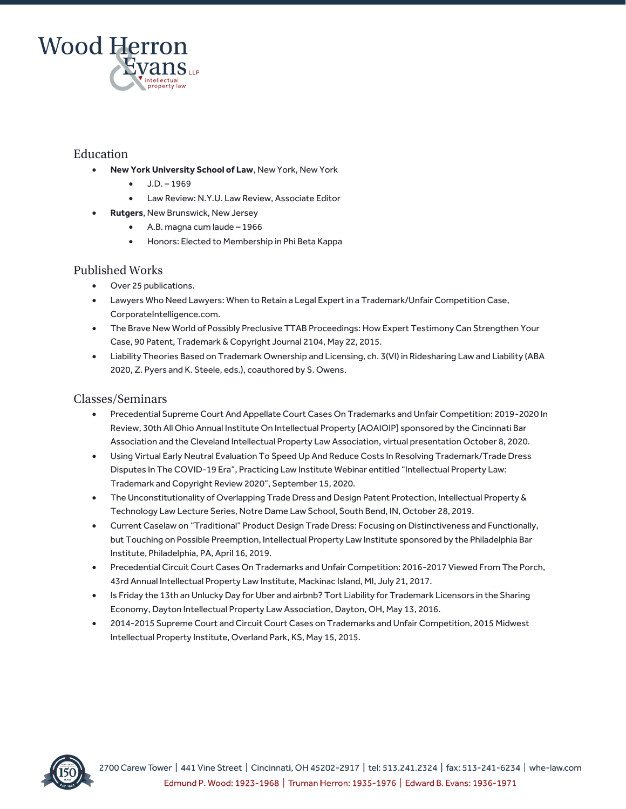

### Education

- **New York University School of Law**, New York, New York
	- $-$  J.D. 1969
	- Law Review: N.Y.U. Law Review, Associate Editor
- **Rutgers**, New Brunswick, New Jersey
	- A.B. magna cum laude 1966
	- Honors: Elected to Membership in Phi Beta Kappa

#### **Published Works**

- Over 25 publications.
- Lawyers Who Need Lawyers: When to Retain a Legal Expert in a Trademark/Unfair Competition Case, CorporateIntelligence.com.
- The Brave New World of Possibly Preclusive TTAB Proceedings: How Expert Testimony Can Strengthen Your Case, 90 Patent, Trademark & Copyright Journal 2104, May 22, 2015.
- Liability Theories Based on Trademark Ownership and Licensing, ch. 3(VI) in Ridesharing Law and Liability (ABA 2020, Z. Pyers and K. Steele, eds.), coauthored by S. Owens.

### Classes/Seminars

- Precedential Supreme Court And Appellate Court Cases On Trademarks and Unfair Competition: 2019-2020 In Review, 30th All Ohio Annual Institute On Intellectual Property [AOAIOIP] sponsored by the Cincinnati Bar Association and the Cleveland Intellectual Property Law Association, virtual presentation October 8, 2020.
- Using Virtual Early Neutral Evaluation To Speed Up And Reduce Costs In Resolving Trademark/Trade Dress Disputes In The COVID-19 Era", Practicing Law Institute Webinar entitled "Intellectual Property Law: Trademark and Copyright Review 2020", September 15, 2020.
- The Unconstitutionality of Overlapping Trade Dress and Design Patent Protection, Intellectual Property & Technology Law Lecture Series, Notre Dame Law School, South Bend, IN, October 28, 2019.
- Current Caselaw on "Traditional" Product Design Trade Dress: Focusing on Distinctiveness and Functionally, but Touching on Possible Preemption, Intellectual Property Law Institute sponsored by the Philadelphia Bar Institute, Philadelphia, PA, April 16, 2019.
- Precedential Circuit Court Cases On Trademarks and Unfair Competition: 2016-2017 Viewed From The Porch, 43rd Annual Intellectual Property Law Institute, Mackinac Island, MI, July 21, 2017.
- Is Friday the 13th an Unlucky Day for Uber and airbnb? Tort Liability for Trademark Licensors in the Sharing Economy, Dayton Intellectual Property Law Association, Dayton, OH, May 13, 2016.
- 2014-2015 Supreme Court and Circuit Court Cases on Trademarks and Unfair Competition, 2015 Midwest Intellectual Property Institute, Overland Park, KS, May 15, 2015.